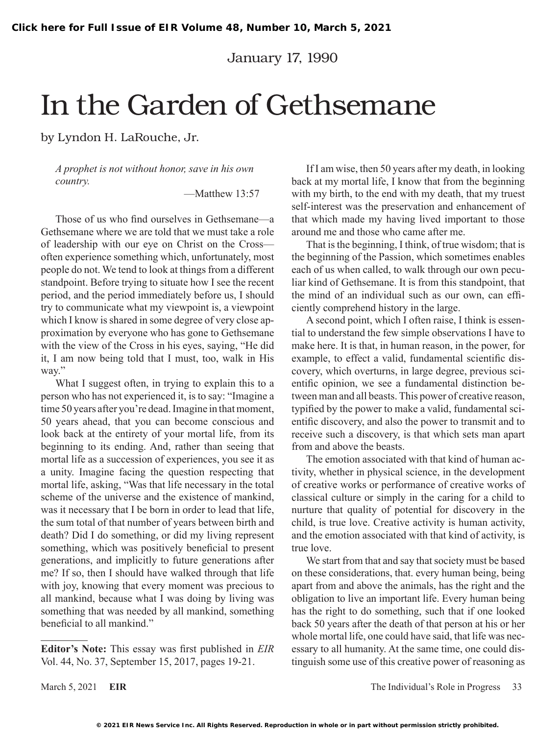January 17, 1990

## In the Garden of Gethsemane

by Lyndon H. LaRouche, Jr.

*A prophet is not without honor, save in his own country.*

—Matthew 13:57

Those of us who find ourselves in Gethsemane—a Gethsemane where we are told that we must take a role of leadership with our eye on Christ on the Cross often experience something which, unfortunately, most people do not. We tend to look at things from a different standpoint. Before trying to situate how I see the recent period, and the period immediately before us, I should try to communicate what my viewpoint is, a viewpoint which I know is shared in some degree of very close approximation by everyone who has gone to Gethsemane with the view of the Cross in his eyes, saying, "He did it, I am now being told that I must, too, walk in His way."

What I suggest often, in trying to explain this to a person who has not experienced it, is to say: "Imagine a time 50 years after you're dead. Imagine in that moment, 50 years ahead, that you can become conscious and look back at the entirety of your mortal life, from its beginning to its ending. And, rather than seeing that mortal life as a succession of experiences, you see it as a unity. Imagine facing the question respecting that mortal life, asking, "Was that life necessary in the total scheme of the universe and the existence of mankind, was it necessary that I be born in order to lead that life, the sum total of that number of years between birth and death? Did I do something, or did my living represent something, which was positively beneficial to present generations, and implicitly to future generations after me? If so, then I should have walked through that life with joy, knowing that every moment was precious to all mankind, because what I was doing by living was something that was needed by all mankind, something beneficial to all mankind."

**Editor's Note:** This essay was first published in *EIR* Vol. 44, No. 37, September 15, 2017, pages 19-21.

If I am wise, then 50 years after my death, in looking back at my mortal life, I know that from the beginning with my birth, to the end with my death, that my truest self-interest was the preservation and enhancement of that which made my having lived important to those around me and those who came after me.

That is the beginning, I think, of true wisdom; that is the beginning of the Passion, which sometimes enables each of us when called, to walk through our own peculiar kind of Gethsemane. It is from this standpoint, that the mind of an individual such as our own, can efficiently comprehend history in the large.

A second point, which I often raise, I think is essential to understand the few simple observations I have to make here. It is that, in human reason, in the power, for example, to effect a valid, fundamental scientific discovery, which overturns, in large degree, previous scientific opinion, we see a fundamental distinction between man and all beasts. This power of creative reason, typified by the power to make a valid, fundamental scientific discovery, and also the power to transmit and to receive such a discovery, is that which sets man apart from and above the beasts.

The emotion associated with that kind of human activity, whether in physical science, in the development of creative works or performance of creative works of classical culture or simply in the caring for a child to nurture that quality of potential for discovery in the child, is true love. Creative activity is human activity, and the emotion associated with that kind of activity, is true love.

We start from that and say that society must be based on these considerations, that. every human being, being apart from and above the animals, has the right and the obligation to live an important life. Every human being has the right to do something, such that if one looked back 50 years after the death of that person at his or her whole mortal life, one could have said, that life was necessary to all humanity. At the same time, one could distinguish some use of this creative power of reasoning as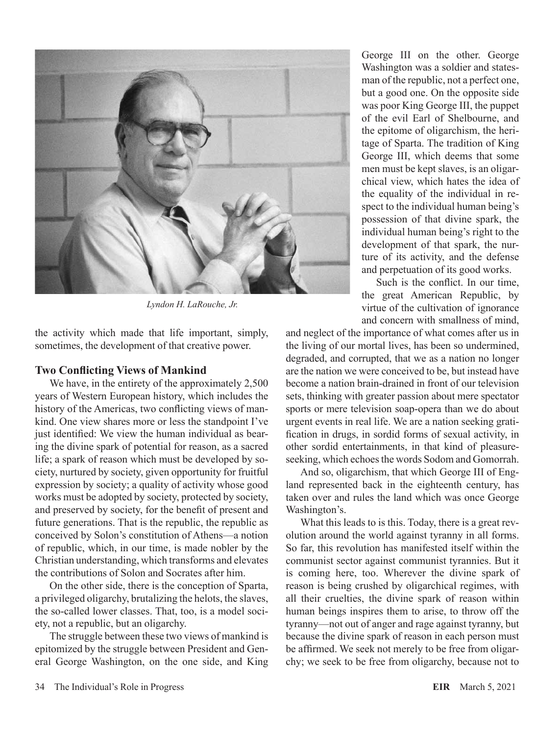

*Lyndon H. LaRouche, Jr.*

the activity which made that life important, simply, sometimes, the development of that creative power.

## **Two Conflicting Views of Mankind**

We have, in the entirety of the approximately 2,500 years of Western European history, which includes the history of the Americas, two conflicting views of mankind. One view shares more or less the standpoint I've just identified: We view the human individual as bearing the divine spark of potential for reason, as a sacred life; a spark of reason which must be developed by society, nurtured by society, given opportunity for fruitful expression by society; a quality of activity whose good works must be adopted by society, protected by society, and preserved by society, for the benefit of present and future generations. That is the republic, the republic as conceived by Solon's constitution of Athens—a notion of republic, which, in our time, is made nobler by the Christian understanding, which transforms and elevates the contributions of Solon and Socrates after him.

On the other side, there is the conception of Sparta, a privileged oligarchy, brutalizing the helots, the slaves, the so-called lower classes. That, too, is a model society, not a republic, but an oligarchy.

The struggle between these two views of mankind is epitomized by the struggle between President and General George Washington, on the one side, and King

George III on the other. George Washington was a soldier and statesman of the republic, not a perfect one, but a good one. On the opposite side was poor King George III, the puppet of the evil Earl of Shelbourne, and the epitome of oligarchism, the heritage of Sparta. The tradition of King George III, which deems that some men must be kept slaves, is an oligarchical view, which hates the idea of the equality of the individual in respect to the individual human being's possession of that divine spark, the individual human being's right to the development of that spark, the nurture of its activity, and the defense and perpetuation of its good works.

Such is the conflict. In our time, the great American Republic, by virtue of the cultivation of ignorance and concern with smallness of mind,

and neglect of the importance of what comes after us in the living of our mortal lives, has been so undermined, degraded, and corrupted, that we as a nation no longer are the nation we were conceived to be, but instead have become a nation brain-drained in front of our television sets, thinking with greater passion about mere spectator sports or mere television soap-opera than we do about urgent events in real life. We are a nation seeking gratification in drugs, in sordid forms of sexual activity, in other sordid entertainments, in that kind of pleasureseeking, which echoes the words Sodom and Gomorrah.

And so, oligarchism, that which George III of England represented back in the eighteenth century, has taken over and rules the land which was once George Washington's.

What this leads to is this. Today, there is a great revolution around the world against tyranny in all forms. So far, this revolution has manifested itself within the communist sector against communist tyrannies. But it is coming here, too. Wherever the divine spark of reason is being crushed by oligarchical regimes, with all their cruelties, the divine spark of reason within human beings inspires them to arise, to throw off the tyranny—not out of anger and rage against tyranny, but because the divine spark of reason in each person must be affirmed. We seek not merely to be free from oligarchy; we seek to be free from oligarchy, because not to